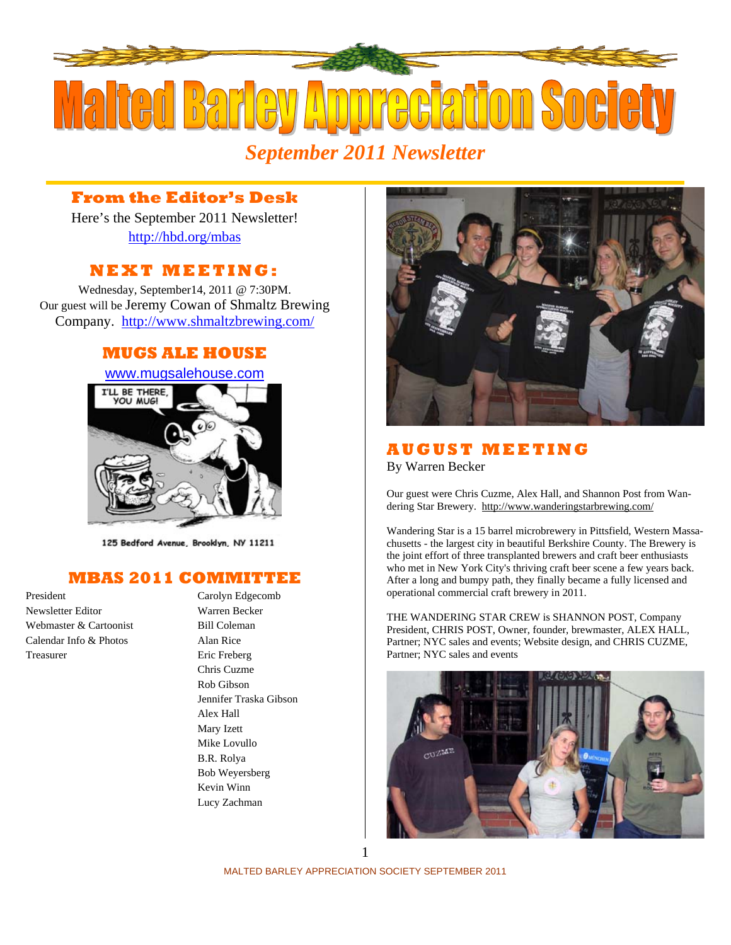

# **From the Editor's Desk**

Here's the September 2011 Newsletter! http://hbd.org/mbas

# **NEXT MEETING:**

Wednesday, September14, 2011 @ 7:30PM. Our guest will be Jeremy Cowan of Shmaltz Brewing Company. http://www.shmaltzbrewing.com/

# **MUGS ALE HOUSE**

www.mugsalehouse.com



125 Bedford Avenue, Brooklyn, NY 11211

# **MBAS 2011 COMMITTEE**

Newsletter Editor Warren Becker Webmaster & Cartoonist Bill Coleman Calendar Info & Photos Alan Rice Treasurer Eric Freberg

President Carolyn Edgecomb Chris Cuzme Rob Gibson Jennifer Traska Gibson Alex Hall Mary Izett Mike Lovullo B.R. Rolya Bob Weyersberg Kevin Winn Lucy Zachman



# **AUGUST MEETING**

By Warren Becker

Our guest were Chris Cuzme, Alex Hall, and Shannon Post from Wandering Star Brewery. http://www.wanderingstarbrewing.com/

Wandering Star is a 15 barrel microbrewery in Pittsfield, Western Massachusetts - the largest city in beautiful Berkshire County. The Brewery is the joint effort of three transplanted brewers and craft beer enthusiasts who met in New York City's thriving craft beer scene a few years back. After a long and bumpy path, they finally became a fully licensed and operational commercial craft brewery in 2011.

THE WANDERING STAR CREW is SHANNON POST, Company President, CHRIS POST, Owner, founder, brewmaster, ALEX HALL, Partner; NYC sales and events; Website design, and CHRIS CUZME, Partner; NYC sales and events



1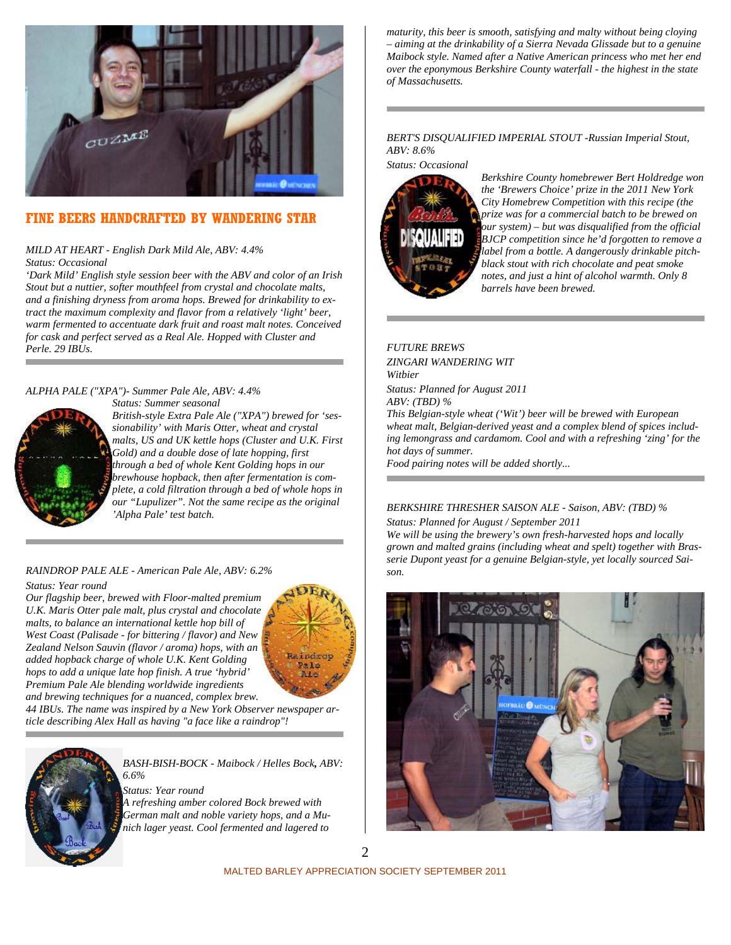

## **FINE BEERS HANDCRAFTED BY WANDERING STAR**

## *MILD AT HEART - English Dark Mild Ale, ABV: 4.4% Status: Occasional*

*'Dark Mild' English style session beer with the ABV and color of an Irish Stout but a nuttier, softer mouthfeel from crystal and chocolate malts, and a finishing dryness from aroma hops. Brewed for drinkability to extract the maximum complexity and flavor from a relatively 'light' beer, warm fermented to accentuate dark fruit and roast malt notes. Conceived for cask and perfect served as a Real Ale. Hopped with Cluster and Perle. 29 IBUs.* 

## *ALPHA PALE ("XPA")- Summer Pale Ale, ABV: 4.4%*



*Status: Summer seasonal British-style Extra Pale Ale ("XPA") brewed for 'sessionability' with Maris Otter, wheat and crystal malts, US and UK kettle hops (Cluster and U.K. First Gold) and a double dose of late hopping, first through a bed of whole Kent Golding hops in our brewhouse hopback, then after fermentation is complete, a cold filtration through a bed of whole hops in our "Lupulizer". Not the same recipe as the original 'Alpha Pale' test batch.* 

## *RAINDROP PALE ALE - American Pale Ale, ABV: 6.2%*

### *Status: Year round*

*Our flagship beer, brewed with Floor-malted premium U.K. Maris Otter pale malt, plus crystal and chocolate malts, to balance an international kettle hop bill of West Coast (Palisade - for bittering / flavor) and New Zealand Nelson Sauvin (flavor / aroma) hops, with an added hopback charge of whole U.K. Kent Golding hops to add a unique late hop finish. A true 'hybrid' Premium Pale Ale blending worldwide ingredients and brewing techniques for a nuanced, complex brew.* 



*44 IBUs. The name was inspired by a New York Observer newspaper article describing Alex Hall as having "a face like a raindrop"!* 



*BASH-BISH-BOCK - Maibock / Helles Bock, ABV: 6.6%* 

*Status: Year round A refreshing amber colored Bock brewed with German malt and noble variety hops, and a Munich lager yeast. Cool fermented and lagered to* 

*maturity, this beer is smooth, satisfying and malty without being cloying – aiming at the drinkability of a Sierra Nevada Glissade but to a genuine Maibock style. Named after a Native American princess who met her end over the eponymous Berkshire County waterfall - the highest in the state of Massachusetts.* 

*BERT'S DISQUALIFIED IMPERIAL STOUT -Russian Imperial Stout, ABV: 8.6%* 

*Status: Occasional* 



*Berkshire County homebrewer Bert Holdredge won the 'Brewers Choice' prize in the 2011 New York City Homebrew Competition with this recipe (the prize was for a commercial batch to be brewed on our system) – but was disqualified from the official BJCP competition since he'd forgotten to remove a label from a bottle. A dangerously drinkable pitchblack stout with rich chocolate and peat smoke notes, and just a hint of alcohol warmth. Only 8 barrels have been brewed.* 

# *FUTURE BREWS*

*ZINGARI WANDERING WIT Witbier* 

*Status: Planned for August 2011 ABV: (TBD) %* 

*This Belgian-style wheat ('Wit') beer will be brewed with European wheat malt, Belgian-derived yeast and a complex blend of spices including lemongrass and cardamom. Cool and with a refreshing 'zing' for the hot days of summer.* 

*Food pairing notes will be added shortly...* 

## *BERKSHIRE THRESHER SAISON ALE - Saison, ABV: (TBD) %*

*Status: Planned for August / September 2011 We will be using the brewery's own fresh-harvested hops and locally grown and malted grains (including wheat and spelt) together with Brasserie Dupont yeast for a genuine Belgian-style, yet locally sourced Saison.* 

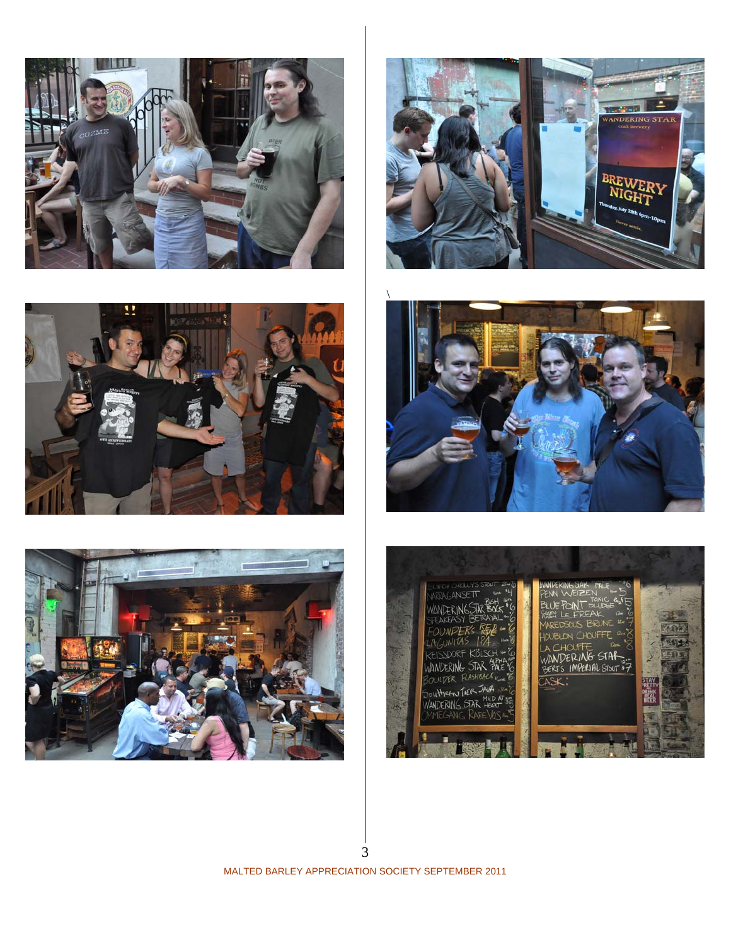











MALTED BARLEY APPRECIATION SOCIETY SEPTEMBER 2011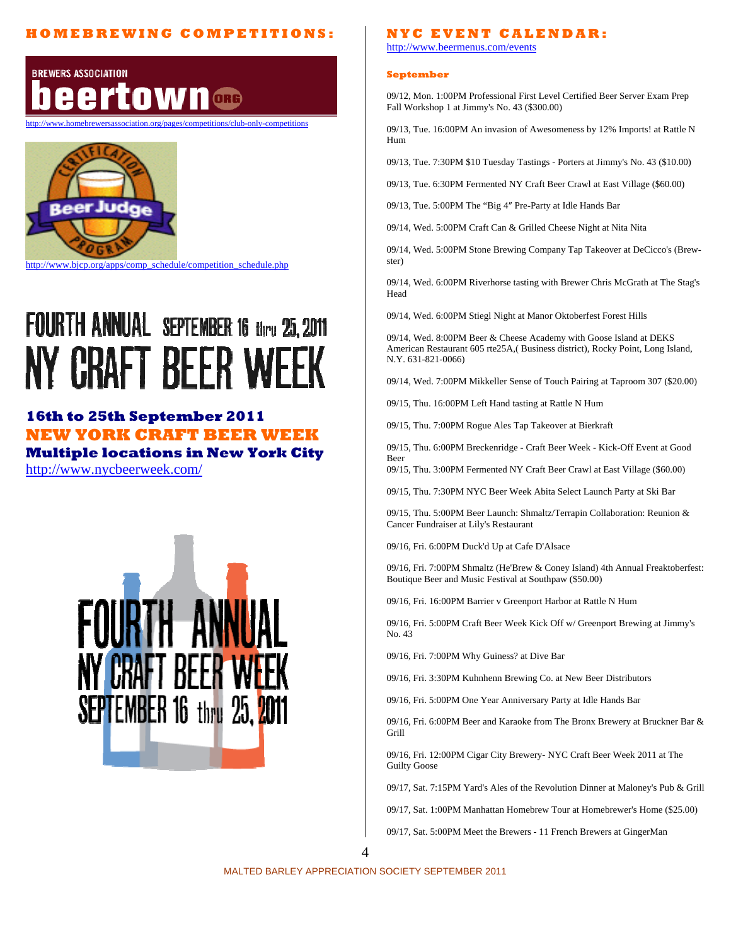## **HOMEBREWING COMPETITIONS:**

# **BREWERS ASSOCIATION** D) ORG

http://www.homebrewersassociation.org/pages/competitions/club-only-competitions



http://www.bjcp.org/apps/comp\_schedule/competition\_schedule.php

# **FOURTH ANNUAL SEPTEMBER 16 thru 25, 2011** NY CRAFT BEER WEEK

# **16th to 25th September 2011 NEW YORK CRAFT BEER WEEK Multiple locations in New York City** http://www.nycbeerweek.com/



## **NYC EVENT CALENDAR:**

http://www.beermenus.com/events

## **September**

09/12, Mon. 1:00PM Professional First Level Certified Beer Server Exam Prep Fall Workshop 1 at Jimmy's No. 43 (\$300.00)

09/13, Tue. 16:00PM An invasion of Awesomeness by 12% Imports! at Rattle N Hum

09/13, Tue. 7:30PM \$10 Tuesday Tastings - Porters at Jimmy's No. 43 (\$10.00)

09/13, Tue. 6:30PM Fermented NY Craft Beer Crawl at East Village (\$60.00)

09/13, Tue. 5:00PM The "Big 4″ Pre-Party at Idle Hands Bar

09/14, Wed. 5:00PM Craft Can & Grilled Cheese Night at Nita Nita

09/14, Wed. 5:00PM Stone Brewing Company Tap Takeover at DeCicco's (Brewster)

09/14, Wed. 6:00PM Riverhorse tasting with Brewer Chris McGrath at The Stag's Head

09/14, Wed. 6:00PM Stiegl Night at Manor Oktoberfest Forest Hills

09/14, Wed. 8:00PM Beer & Cheese Academy with Goose Island at DEKS American Restaurant 605 rte25A,( Business district), Rocky Point, Long Island, N.Y. 631-821-0066)

09/14, Wed. 7:00PM Mikkeller Sense of Touch Pairing at Taproom 307 (\$20.00)

09/15, Thu. 16:00PM Left Hand tasting at Rattle N Hum

09/15, Thu. 7:00PM Rogue Ales Tap Takeover at Bierkraft

09/15, Thu. 6:00PM Breckenridge - Craft Beer Week - Kick-Off Event at Good Beer

09/15, Thu. 3:00PM Fermented NY Craft Beer Crawl at East Village (\$60.00)

09/15, Thu. 7:30PM NYC Beer Week Abita Select Launch Party at Ski Bar

09/15, Thu. 5:00PM Beer Launch: Shmaltz/Terrapin Collaboration: Reunion & Cancer Fundraiser at Lily's Restaurant

09/16, Fri. 6:00PM Duck'd Up at Cafe D'Alsace

09/16, Fri. 7:00PM Shmaltz (He'Brew & Coney Island) 4th Annual Freaktoberfest: Boutique Beer and Music Festival at Southpaw (\$50.00)

09/16, Fri. 16:00PM Barrier v Greenport Harbor at Rattle N Hum

09/16, Fri. 5:00PM Craft Beer Week Kick Off w/ Greenport Brewing at Jimmy's No. 43

09/16, Fri. 7:00PM Why Guiness? at Dive Bar

09/16, Fri. 3:30PM Kuhnhenn Brewing Co. at New Beer Distributors

09/16, Fri. 5:00PM One Year Anniversary Party at Idle Hands Bar

09/16, Fri. 6:00PM Beer and Karaoke from The Bronx Brewery at Bruckner Bar & Grill

09/16, Fri. 12:00PM Cigar City Brewery- NYC Craft Beer Week 2011 at The Guilty Goose

09/17, Sat. 7:15PM Yard's Ales of the Revolution Dinner at Maloney's Pub & Grill

09/17, Sat. 1:00PM Manhattan Homebrew Tour at Homebrewer's Home (\$25.00)

09/17, Sat. 5:00PM Meet the Brewers - 11 French Brewers at GingerMan